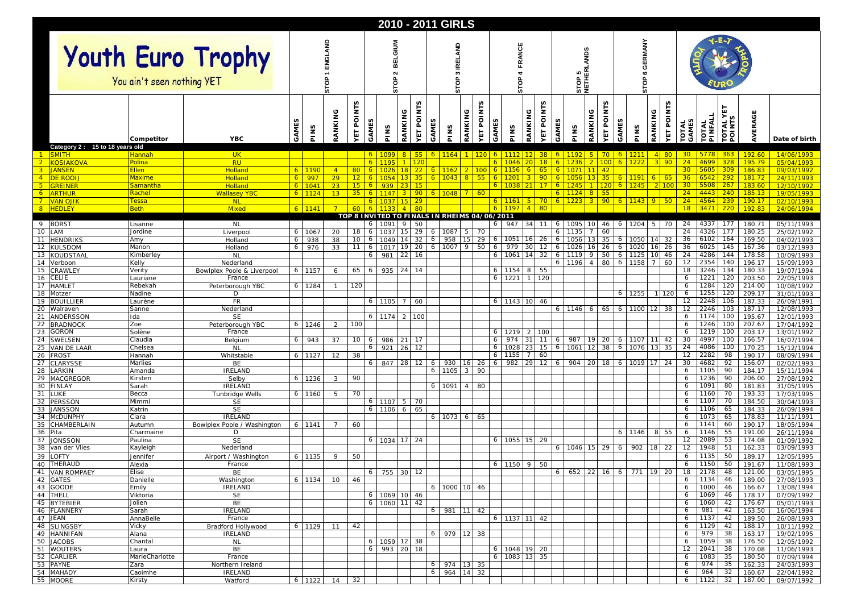|                                                        |                                                 |                                               |                        |                 |                     |                 | 2010 - 2011 GIRLS                            |          |                            |                                  |                 |                   |        |                       |                              |                       |              |                                   |                        |                                  |                                         |                                     |                   |                       |                  |                         |                  |                           |  |  |
|--------------------------------------------------------|-------------------------------------------------|-----------------------------------------------|------------------------|-----------------|---------------------|-----------------|----------------------------------------------|----------|----------------------------|----------------------------------|-----------------|-------------------|--------|-----------------------|------------------------------|-----------------------|--------------|-----------------------------------|------------------------|----------------------------------|-----------------------------------------|-------------------------------------|-------------------|-----------------------|------------------|-------------------------|------------------|---------------------------|--|--|
|                                                        | Youth Euro Trophy<br>You ain't seen nothing YET |                                               |                        |                 |                     |                 | <b>MUIO</b><br>m<br>STOP                     |          |                            | <b>SAM</b><br>ᄑ<br>ო<br>ဦ<br>'n. |                 |                   |        | ANCE<br>ô<br>Ċ۵       |                              |                       |              | <b>ANDS</b><br>ᄵᇜ<br>STOP<br>NETH |                        |                                  |                                         | <b>GERMANY</b><br>$\mathbf{o}$<br>₿ |                   |                       |                  |                         |                  |                           |  |  |
|                                                        | Competitor                                      | <b>YBC</b>                                    | PINS<br>GAMI           | RANKING         | <b>POINTS</b><br>ÀД | GAMES           | PINS                                         | RANKING  | <b>VET POINTS</b><br>GAMES | PINS                             | RANKING         | <b>YET POINTS</b> | GAMES  | PINS                  | <b>YET POINTS</b><br>RANKING | GAMES                 | PINS         | RANKING                           | NTS<br><b>YET POIL</b> | GAMES                            | PINS                                    | RANKING                             | <b>YET POINTS</b> | <b>TOTAL</b><br>GAMES | TOTAL<br>PINFALL | Ե<br>TOTAL YI<br>POINTS | AVERAGE          | Date of birth             |  |  |
| Category 2: 15 to 18 years old<br>$-1$<br><b>SMITH</b> | Hannah                                          | UK.                                           |                        |                 |                     | $\overline{6}$  | 1099                                         |          | 55                         | 1164                             |                 |                   |        | 6 1112 12             |                              | 38 <sup>°</sup><br>-6 |              |                                   | 70                     |                                  | 1211                                    |                                     | $4$ 80            | 30 <sup>2</sup>       | 5778             | 363                     | <b>192.60</b>    | 14/06/1993                |  |  |
| $\sqrt{2}$<br><b>KOSIAKOVA</b>                         | Polina                                          | <b>RU</b>                                     |                        |                 |                     |                 |                                              |          |                            |                                  |                 |                   |        |                       |                              | 18                    |              |                                   | 100                    | 6                                | 1222                                    |                                     | $3$ 90            | 24                    | 4699             | 328                     | 195.79           | 05/04/1993                |  |  |
| 3 JANSEN                                               | <b>Ellen</b>                                    | <b>Holland</b>                                | 1190                   | $\overline{4}$  |                     | $80$ 6          |                                              |          |                            | 1162                             |                 |                   |        |                       |                              | 65                    |              | 1071                              |                        |                                  |                                         |                                     |                   | $30-1$                | 5605             | 309                     | 186.83           | 09/03/1992                |  |  |
| 4 DE ROOL<br>5 <sub>1</sub><br><b>GREINER</b>          | Maxime<br><u>Samantha</u>                       | <b>Holland</b><br><b>Holland</b>              | 997<br>6.<br>1041<br>6 | 29<br>23        | 12 <sub>1</sub>     | $15$ 6          | 939                                          |          | 15                         | 104                              | 8               | 55                |        | $6 \mid 1038$         |                              | 90<br>17 <sup>2</sup> | 1245         |                                   | 35<br>120              | 6 <sup>1</sup>                   | 1191<br>1245                            |                                     | $6$ 65<br>2 100   | 36<br>30 <sup>2</sup> | 6542<br>5508     | 292<br>267              | 181.72<br>183.60 | 24/11/1993<br>12/10/1992  |  |  |
| <b>ARTHUR</b><br>$6 -$                                 | Rache                                           | <b>Wallasey YBC</b>                           | 1124                   | 13              |                     | $35 \mid 6$     | 1147                                         |          | 90                         | 6 1048                           | 7 <sup>1</sup>  | 60                |        |                       |                              | -6                    | 1124         |                                   | 55                     |                                  |                                         |                                     |                   | 24                    | 4443             | 240                     | 185.13           | 19/05/1993                |  |  |
| 7 <sup>1</sup><br><b>VAN OJIK</b>                      | Tessa                                           | <b>NL</b>                                     |                        |                 |                     |                 |                                              |          | 29                         |                                  |                 |                   |        | $6$ 1161 5            |                              | 70 <sub>1</sub><br>6  | 1223         |                                   | 90                     | $\epsilon$                       | 1143                                    |                                     | $9$ 50            | 24                    | 4564             | 239                     | 190.17           | 02/10/1993                |  |  |
| 8 HEDLEY                                               | <b>Beth</b>                                     | <b>Mixed</b>                                  | $6 \mid 1141$          | $\overline{7}$  | 60                  |                 | TOP 8 INVITED TO FINALS IN RHEIMS 04/06/2011 |          | 80                         |                                  |                 |                   |        | 6 1197 4              | 80                           |                       |              |                                   |                        |                                  |                                         |                                     |                   | 18                    | 3471             | 220                     | 192.83           | 24/06/1994                |  |  |
| 9 BORST                                                | Lisanne                                         | <b>NL</b>                                     |                        |                 |                     |                 | 1091                                         |          | 50                         |                                  |                 |                   | 6      | 947                   | 341<br>11                    | 6                     | 1095         |                                   | 46                     | 6                                | 1204                                    |                                     | 5 70              | 24                    | 4337             | 177                     | 180.71           | 05/11/1993                |  |  |
| 10<br>LAM                                              | Jordine                                         | Liverpool                                     | 1067<br>6              | 20              | 18                  |                 | 1037                                         |          | 29<br>6                    | 1087                             | 5               | 70                |        |                       |                              | 6                     | 1135         |                                   | 60                     |                                  |                                         |                                     |                   | 24                    | 4326             | 177                     | 180.25           | 25/02/1992                |  |  |
| 11 HENDRIKS                                            | Amy                                             | Holland                                       | 938<br>6               | 38              | 10                  | 6               | 1049                                         | 14       | 32<br>6                    | 958                              | 15              | 29                |        | 6 1051                | $16 \quad 26$                | 6                     | 1056         |                                   | 35                     | $\begin{array}{c} 6 \end{array}$ | 1050                                    |                                     | 14 32             | 36                    | 6102             | 164                     | 169.50           | 04/02/1993                |  |  |
| 12<br><b>KULSDOM</b><br>13<br>KOUDSTAAL                | Manon<br>Kimberley                              | Holland<br><b>NL</b>                          | 976<br>6               | 33              | 11                  | 6<br>6          | 1017<br>981                                  | 19<br>22 | 20<br>6<br>16              | 1007                             | 9               | 50                | 6<br>6 | 979<br>1061           | 30<br>12<br>14<br>32         | 6<br>6                | 1026<br>1119 |                                   | 26<br>50               | 6<br>6                           | 1020<br>1125                            | 16                                  | 26<br>46          | 36<br>24              | 6025<br>4286     | 145<br>144              | 167.36<br>178.58 | 03/12/1993<br>10/09/1993  |  |  |
| 14<br>Verboon                                          | Kelly                                           | Nederland                                     |                        |                 |                     |                 |                                              |          |                            |                                  |                 |                   |        |                       |                              | 6                     | 1196         |                                   | 80                     | 6                                | 1158                                    | 7 <sup>1</sup>                      | 60                | 12                    | 2354             | $\overline{140}$        | 196.17           | 15/09/1993                |  |  |
| 15<br>CRAWLEY                                          | Verity                                          | Bowlplex Poole & Liverpool                    | 1157<br>6              | 6               |                     | 65 6            | 935                                          | 24       | 14                         |                                  |                 |                   |        | $6 \mid 1154$         | 8 <br>55                     |                       |              |                                   |                        |                                  |                                         |                                     |                   | 18                    | 3246             | 134                     | 180.33           | 19/07/1994                |  |  |
| 16<br>CELIÉ<br>HAMLE <sup>-</sup><br>17                | Lauriane<br>Rebekah                             | France<br>Peterborough YBC                    | 1284<br>6              |                 | 120                 |                 |                                              |          |                            |                                  |                 |                   | 6      | 1221                  | 120<br>$\overline{1}$        |                       |              |                                   |                        |                                  |                                         |                                     |                   | 6<br>6                | 1221<br>1284     | 120<br>120              | 203.50<br>214.00 | 22/05/1993<br>10/08/1992  |  |  |
| 18<br>Motzer                                           | Nadine                                          | D                                             |                        |                 |                     |                 |                                              |          |                            |                                  |                 |                   |        |                       |                              |                       |              |                                   |                        | 6                                | 1255                                    |                                     | 1 1 2 0           | 6                     | 1255             | 120                     | 209.17           | 31/01/1993                |  |  |
| 19<br><b>BOUILLIER</b>                                 | Laurène                                         | FR                                            |                        |                 |                     | 6               | 1105                                         |          | 60                         |                                  |                 |                   |        | 6 1143 10             | 46                           |                       |              |                                   |                        |                                  |                                         |                                     |                   | 12                    | 2248             | 106                     | 187.33           | 26/09/1991                |  |  |
| 20<br>Walraven                                         | Sanne                                           | Nederland                                     |                        |                 |                     |                 |                                              |          |                            |                                  |                 |                   |        |                       |                              | 6                     |              | 1146 6                            |                        | 65 6                             | 1100                                    |                                     | 12 38             | 12                    | 2246             | 103                     | 187.17<br>195.67 | 12/08/1993                |  |  |
| 21<br>ANDERSSON<br>22<br><b>BRADNOCK</b>               | Ida<br>Zoe                                      | <b>SE</b><br>Peterborough YBC                 | 1246<br>6              | 2               | 100                 | 6               | 1174                                         | 2        | 100                        |                                  |                 |                   |        |                       |                              |                       |              |                                   |                        |                                  |                                         |                                     |                   | 6<br>6                | 1174<br>1246     | 100<br>100              | 207.67           | 12/01/1993<br>17/04/1992  |  |  |
| 23<br><b>GORON</b>                                     | Solène                                          | France                                        |                        |                 |                     |                 |                                              |          |                            |                                  |                 |                   |        | 6 1219 2              | 100                          |                       |              |                                   |                        |                                  |                                         |                                     |                   | 6                     | 1219             | 100                     | 203.17           | 13/01/1992                |  |  |
| 24<br>SWELSEN                                          | Claudia                                         | Belgium                                       | 943<br>6               | 37              |                     | 10 <sub>6</sub> | 986                                          | 21       | -17                        |                                  |                 |                   | 6      | 974                   | 31                           | 11<br>-6              | 987          | 19                                | 20                     | 6                                | 1107                                    |                                     | $11 \ 42$         | 30                    | 4997             | 100                     | 166.57           | 16/07/1994                |  |  |
| 25<br>VAN DE LAAR<br>26 FROST                          | Chelsea<br>Hannah                               | <b>NL</b><br>Whitstable                       | 6 1127                 | 12              | 38                  | 6               | 921                                          | 26       | 12                         |                                  |                 |                   | 6      | 1028<br>$6$ 1155 7 60 | 23<br>15                     | 6                     | 1061         |                                   | 38                     | 6                                | 1076                                    | 13                                  | 35                | 24<br>12              | 4086<br>2282     | 100<br>98               | 170.25<br>190.17 | 15/12/1994<br>08/09/1994  |  |  |
| 27<br>CLARYSSE                                         | Marlies                                         | BE                                            |                        |                 |                     | 6               | 847                                          | 28       | 12<br>6                    | 930                              | 16 <sup>1</sup> | 26                | 6      | 982                   | 29                           | 12<br>6               | 904          |                                   | 18                     | 6                                | 1019                                    |                                     | 17 24             | 30                    | 4682             | 92                      | 156.07           | 02/02/1993                |  |  |
| 28<br><b>ARKIN</b>                                     | Amanda                                          | <b>IRELAND</b>                                |                        |                 |                     |                 |                                              |          | 6                          | 1105                             | 3               | 90                |        |                       |                              |                       |              |                                   |                        |                                  |                                         |                                     |                   | 6                     | 1105             | 90                      | 184.17           | 15/11/1994                |  |  |
| 29<br>MACGREGOR                                        | Kirsten                                         | Selby<br><b>IRELAND</b>                       | 1236<br>6              | 3               | 90                  |                 |                                              |          |                            |                                  |                 |                   |        |                       |                              |                       |              |                                   |                        |                                  |                                         |                                     |                   | 6                     | 1236             | 90                      | 206.00           | 27/08/1992                |  |  |
| 30<br><b>FINLAY</b><br>31<br><b>LUKE</b>               | Sarah<br>Becca                                  | <b>Tunbridge Wells</b>                        | 1160                   |                 | 70                  |                 |                                              |          |                            | 1091                             | $\overline{4}$  | 80                |        |                       |                              |                       |              |                                   |                        |                                  |                                         |                                     |                   | 6<br>6                | 1091<br>1160     | 80<br>70                | 181.83<br>193.33 | 31/05/1995<br>17/03/1995  |  |  |
| 32<br>PERSSON                                          | Mimm                                            | <b>SE</b>                                     |                        |                 |                     |                 | $6 \mid 1107$                                | 5        | 70                         |                                  |                 |                   |        |                       |                              |                       |              |                                   |                        |                                  |                                         |                                     |                   | 6                     | 1107             | 70                      | 184.50           | 30/04/1993                |  |  |
| 33<br><b>JANSSON</b>                                   | Katrin                                          | <b>SE</b>                                     |                        |                 |                     |                 | 6 1106                                       | 6        | 65                         |                                  |                 |                   |        |                       |                              |                       |              |                                   |                        |                                  |                                         |                                     |                   | 6                     | 1106             | 65                      | 184.33           | 26/09/1994                |  |  |
| 34<br>McDUNPHY<br>35<br>CHAMBERLAIN                    | Ciara<br>Autumn                                 | <b>IRELAND</b><br>Bowlplex Poole / Washington | 1141<br>6              | $7\overline{ }$ | 60                  |                 |                                              |          |                            | 6 1073                           | 6               | 65                |        |                       |                              |                       |              |                                   |                        |                                  |                                         |                                     |                   | 6<br>6                | 1073<br>1141     | 65<br>60                | 178.83<br>190.17 | 11/11/1991<br>18/05/1994  |  |  |
| 36<br>Pita                                             | Charmaine                                       | D                                             |                        |                 |                     |                 |                                              |          |                            |                                  |                 |                   |        |                       |                              |                       |              |                                   |                        | 6                                | 1146                                    |                                     | 8 5 5             | 6                     | 1146             | 55                      | 191.00           | 26/11/1994                |  |  |
| 37 JONSSON                                             | Paulina                                         | <b>SE</b>                                     |                        |                 |                     | 6               | 1034 17                                      |          | 24                         |                                  |                 |                   |        | 6 1055 15 29          |                              |                       |              |                                   |                        |                                  |                                         |                                     |                   | 12                    | 2089             | 53                      | 174.08           | 01/09/1992                |  |  |
| 38<br>van der Vlies                                    | Kayleigh                                        | Nederland                                     |                        |                 |                     |                 |                                              |          |                            |                                  |                 |                   |        |                       |                              | 6                     |              | 1046 15                           | 29                     | -6                               | 902                                     |                                     | 18 22             | 12                    | 1948             | 51                      | 162.33           | 03/09/1993                |  |  |
| 39<br>LOFTY<br>40 THERAUD                              | Jennifer<br>Alexia                              | Airport / Washington<br>France                | 1135<br>6              | 9               | 50                  |                 |                                              |          |                            |                                  |                 |                   |        | $6$ 1150 9 50         |                              |                       |              |                                   |                        |                                  |                                         |                                     |                   | 6<br>6                | 1135<br>1150     | 50<br>50                | 189.17<br>191.67 | 12/05/1995<br>11/08/1993  |  |  |
| 41 VAN ROMPAEY                                         | Elise                                           | BE                                            |                        |                 |                     |                 | $6$ 755 30 12                                |          |                            |                                  |                 |                   |        |                       |                              |                       |              |                                   |                        |                                  | $6$   652   22   16   6   771   19   20 |                                     |                   | 18                    | 2178             | 48                      | 121.00           | 03/05/1995                |  |  |
| 42 GATES                                               | Danielle                                        | Washington                                    | 6 1134                 | 10              | 46                  |                 |                                              |          |                            |                                  |                 |                   |        |                       |                              |                       |              |                                   |                        |                                  |                                         |                                     |                   | 6                     | 1134             | 46                      | 189.00           | 27/08/1993                |  |  |
| 43 GOODE                                               | Emily                                           | <b>IRELAND</b>                                |                        |                 |                     |                 |                                              |          |                            | 6 1000 10 46                     |                 |                   |        |                       |                              |                       |              |                                   |                        |                                  |                                         |                                     |                   | 6                     | 1000<br>1069     | 46                      | 166.67           | 13/08/1994                |  |  |
| 44 THELL<br>45 BYTEBIER                                | Viktoria<br>Jolien                              | <b>SE</b><br>BE                               |                        |                 |                     |                 | 6 1069 10 46<br>$6$ 1060 11 42               |          |                            |                                  |                 |                   |        |                       |                              |                       |              |                                   |                        |                                  |                                         |                                     |                   | 6<br>6                | 1060             | 46<br>42                | 178.17<br>176.67 | 07/09/1992<br>05/01/1993  |  |  |
| 46 FLANNERY                                            | Sarah                                           | <b>IRELAND</b>                                |                        |                 |                     |                 |                                              |          | 6                          | 981 11 42                        |                 |                   |        |                       |                              |                       |              |                                   |                        |                                  |                                         |                                     |                   | 6                     | 981              | 42                      | 163.50           | 16/06/1994                |  |  |
| 47 JEAN                                                | AnnaBelle                                       | France                                        |                        |                 |                     |                 |                                              |          |                            |                                  |                 |                   |        | $6$   1137   11   42  |                              |                       |              |                                   |                        |                                  |                                         |                                     |                   | 6                     | 1137             | 42                      | 189.50           | 26/08/1993                |  |  |
| 48 SLINGSBY<br>49 HANNIFAN                             | Vicky<br>Alana                                  | Bradford Hollywood<br>IRELAND                 | 6 1129                 | 11              | 42                  |                 |                                              |          | 6                          | 979 12 38                        |                 |                   |        |                       |                              |                       |              |                                   |                        |                                  |                                         |                                     |                   | 6<br>6                | 1129<br>979      | 42<br>38                | 188.17<br>163.17 | 10/11/1992<br>19/02/1995  |  |  |
| 50 JACOBS                                              | Chantal                                         | <b>NL</b>                                     |                        |                 |                     |                 | $6$ 1059 12 38                               |          |                            |                                  |                 |                   |        |                       |                              |                       |              |                                   |                        |                                  |                                         |                                     |                   | 6                     | 1059             | 38                      | 176.50           | 12/05/1992                |  |  |
| 51 WOUTERS                                             | Laura                                           | BE                                            |                        |                 |                     |                 | $6$ 993 20 18                                |          |                            |                                  |                 |                   |        | $6$ 1048 19 20        |                              |                       |              |                                   |                        |                                  |                                         |                                     |                   | 12                    | 2041             | 38                      | 170.08           | 11/06/1993                |  |  |
| 52 CARLIER<br>53 PAYNE                                 | MarieCharlotte<br>Zara                          | France<br>Northern Ireland                    |                        |                 |                     |                 |                                              |          | 6                          | 974 13 35                        |                 |                   |        | 6 1083 13 35          |                              |                       |              |                                   |                        |                                  |                                         |                                     |                   | 6<br>6                | 1083<br>974      | 35<br>35                | 180.50<br>162.33 | 07/09/1994<br>24/03/1993  |  |  |
| 54 MAHADY                                              | Caoimhe                                         | IRELAND                                       |                        |                 |                     |                 |                                              |          | - 6 I                      | 964 14 32                        |                 |                   |        |                       |                              |                       |              |                                   |                        |                                  |                                         |                                     |                   | 6                     | 964              | 32                      | 160.67           | 22/04/1992                |  |  |
| 55 MOORE                                               | Kirsty                                          | Watford                                       | 6 1122                 | 14              | 32                  |                 |                                              |          |                            |                                  |                 |                   |        |                       |                              |                       |              |                                   |                        |                                  |                                         |                                     |                   | 6                     |                  |                         |                  | 1122 32 187.00 09/07/1992 |  |  |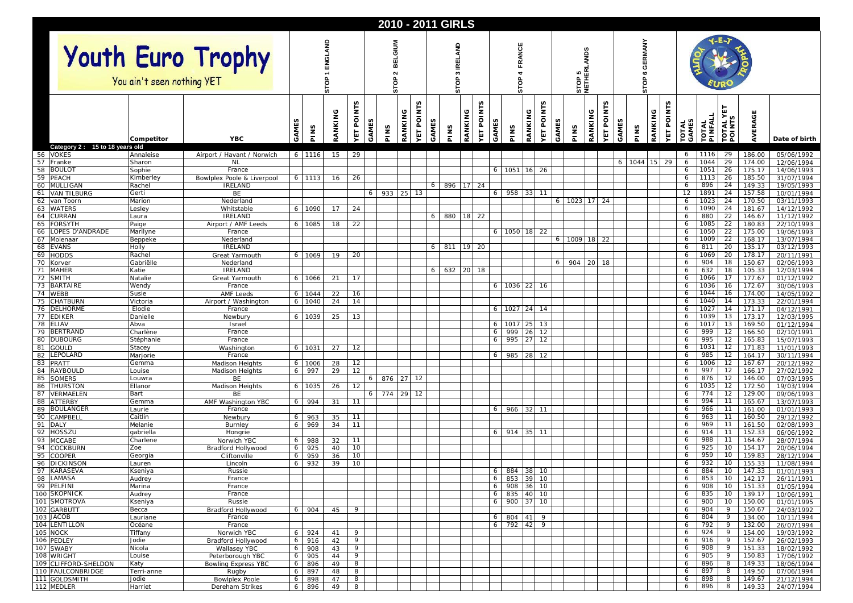|          |                                                 |                        |                                              |                  |               |          |                                                |       | 2010 - 2011 GIRLS |         |                         |                  |      |                 |                        |        |                        |          |                                           |       |         |                          |                                                |      |         |                   |                       |                  |                    |                  |                          |
|----------|-------------------------------------------------|------------------------|----------------------------------------------|------------------|---------------|----------|------------------------------------------------|-------|-------------------|---------|-------------------------|------------------|------|-----------------|------------------------|--------|------------------------|----------|-------------------------------------------|-------|---------|--------------------------|------------------------------------------------|------|---------|-------------------|-----------------------|------------------|--------------------|------------------|--------------------------|
|          | Youth Euro Trophy<br>You ain't seen nothing YET | ENGLAND<br><b>STOP</b> |                                              |                  |               |          | MUI <sub>D</sub> -<br>ᇳ<br>ᆱ<br>$\sim$<br>STOP |       |                   |         | ELAND<br>≊<br>S<br>STOP |                  |      |                 | FRANCE<br>4<br>STOP    |        |                        |          | <b>ANDS</b><br>15日<br><b>STOP</b><br>NETH |       |         | <b>GERMANY</b><br>6<br>å |                                                |      |         |                   |                       |                  |                    |                  |                          |
|          |                                                 | Competitor             | <b>YBC</b>                                   | S<br><b>GAME</b> | PINS          | RANKING  | <b>NTS</b><br>$\overline{\mathsf{Q}}$<br>YET   | GAMES | PINS              | RANKING | <b>POINTS</b><br>ΥЕΤ    | n<br><b>GAME</b> | PINS | RANKING         | NTS<br><b>VET POIL</b> | GAMES  | PINS                   | RANKING  | <b>YET POINTS</b>                         | GAMES | PINS    | RANKING<br>YET           | <b>NTS</b><br>$\overline{\mathsf{Q}}$<br>GAMES | PINS | RANKING | <b>YET POINTS</b> | <b>TOTAL</b><br>GAMES | TOTAL<br>PINFALL | TOTAL YI<br>POINTS | AVERAGE          | Date of birth            |
|          | Category 2: 15 to 18 years old<br>56 VOKES      | Annaleise              | Airport / Havant / Norwich                   |                  | 6 1116        | 15       | 29                                             |       |                   |         |                         |                  |      |                 |                        |        |                        |          |                                           |       |         |                          |                                                |      |         |                   | 6                     | 1116             | 29                 | 186.00           | 05/06/1992               |
| 57       | Franke                                          | Sharon                 | <b>NL</b>                                    |                  |               |          |                                                |       |                   |         |                         |                  |      |                 |                        |        |                        |          |                                           |       |         |                          | 6                                              | 1044 | 15      | 29                | 6                     | 1044             | 29                 | 174.00           | 12/06/1994               |
| 58       | <b>BOULOT</b>                                   | Sophie                 | France                                       |                  |               |          |                                                |       |                   |         |                         |                  |      |                 |                        |        | 6 1051 16              |          | 26                                        |       |         |                          |                                                |      |         |                   | 6                     | 1051             | 26                 | 175.17           | 14/06/1993               |
| 59<br>60 | PEACH<br><b>MULLIGAN</b>                        | Kimberley<br>Rachel    | Bowlplex Poole & Liverpool<br><b>IRELAND</b> |                  | $6 \mid 1113$ | 16       | 26                                             |       |                   |         |                         | 6                | 896  | 17 <sup>1</sup> | 24                     |        |                        |          |                                           |       |         |                          |                                                |      |         |                   | 6<br>6                | 1113<br>896      | 26<br>24           | 185.50<br>149.33 | 31/07/1994<br>19/05/1993 |
| 61       | <b>VAN TILBURG</b>                              | Gerti                  | BE                                           |                  |               |          |                                                | 6     | 933 25            |         | 13                      |                  |      |                 |                        | 6      | 958 33                 |          | 11                                        |       |         |                          |                                                |      |         |                   | 12                    | 1891             | 24                 | 157.58           | 10/01/1994               |
|          | 62 van Toorn                                    | Marion                 | Nederland                                    |                  |               |          |                                                |       |                   |         |                         |                  |      |                 |                        |        |                        |          | 6                                         |       | 1023 17 | 24                       |                                                |      |         |                   | 6                     | 1023             | 24                 | 170.50           | 03/11/1993               |
| 63       | <b>WATERS</b>                                   | Lesley                 | Whitstable<br><b>IRELAND</b>                 | 6                | 1090          | 17       | 24                                             |       |                   |         |                         | 6                | 880  |                 |                        |        |                        |          |                                           |       |         |                          |                                                |      |         |                   | 6<br>6                | 1090<br>880      | 24<br>22           | 181.67           | 14/12/1992               |
| 64<br>65 | CURRAN<br><b>FORSYTH</b>                        | Laura<br>Paige         | Airport / AMF Leeds                          | 6                | 1085          | 18       | 22                                             |       |                   |         |                         |                  |      | 18              | 22                     |        |                        |          |                                           |       |         |                          |                                                |      |         |                   | 6                     | 1085             | 22                 | 146.67<br>180.83 | 11/12/1992<br>22/10/1993 |
| 66       | OPES D'ANDRADE                                  | Marilyne               | France                                       |                  |               |          |                                                |       |                   |         |                         |                  |      |                 |                        |        | $6$ 1050 18            |          | 22                                        |       |         |                          |                                                |      |         |                   | 6                     | 1050             | 22                 | 175.00           | 19/06/1993               |
| 67       | Molenaar                                        | Beppeke                | Nederland                                    |                  |               |          |                                                |       |                   |         |                         |                  |      |                 |                        |        |                        |          | 6                                         |       | 1009    | 22<br>18                 |                                                |      |         |                   | 6                     | 1009             | 22                 | 168.17           | 13/07/1994               |
| 68       | <b>EVANS</b>                                    | Holly                  | <b>IRELAND</b>                               |                  |               |          |                                                |       |                   |         |                         | 6                | 811  | 19              | 20                     |        |                        |          |                                           |       |         |                          |                                                |      |         |                   | 6                     | 811              | 20                 | 135.17           | 03/12/1993               |
| 69<br>70 | <b>HODDS</b><br>Korver                          | Rachel<br>Gabriëlle    | Great Yarmouth<br>Nederland                  | 6                | 1069          | 19       | 20                                             |       |                   |         |                         |                  |      |                 |                        |        |                        |          | 6                                         |       | 904     | 20                       | 18                                             |      |         |                   | 6<br>6                | 1069<br>904      | 20<br>18           | 178.17<br>150.67 | 20/11/1991<br>02/06/1993 |
| 71       | <b>MAHER</b>                                    | Katie                  | <b>IRELAND</b>                               |                  |               |          |                                                |       |                   |         |                         | 6                | 632  | 20 <sup>1</sup> | 18                     |        |                        |          |                                           |       |         |                          |                                                |      |         |                   | 6                     | 632              | 18                 | 105.33           | 12/03/1994               |
| 72       | <b>SMITH</b>                                    | Natalie                | Great Yarmouth                               | 6                | 1066          | 21       | 17                                             |       |                   |         |                         |                  |      |                 |                        |        |                        |          |                                           |       |         |                          |                                                |      |         |                   | 6                     | 1066             | 17                 | 177.67           | 01/12/1992               |
| 73       | <b>BARTAIRE</b>                                 | Wendy                  | France                                       |                  |               |          |                                                |       |                   |         |                         |                  |      |                 |                        |        | $6$ 1036 22 16         |          |                                           |       |         |                          |                                                |      |         |                   | 6                     | 1036             | 16                 | 172.67           | 30/06/1993               |
| 74<br>75 | <b>WEBB</b><br>CHATBURN                         | Susie<br>Victoria      | <b>AMF Leeds</b><br>Airport / Washington     | 6<br>6           | 1044<br>1040  | 22<br>24 | 16<br>14                                       |       |                   |         |                         |                  |      |                 |                        |        |                        |          |                                           |       |         |                          |                                                |      |         |                   | 6<br>6                | 1044<br>1040     | 16<br>14           | 174.00<br>173.33 | 14/05/1992<br>22/01/1994 |
| 76       | DELHORME                                        | Elodie                 | France                                       |                  |               |          |                                                |       |                   |         |                         |                  |      |                 |                        |        | 6 1027 24              |          | 14                                        |       |         |                          |                                                |      |         |                   | 6                     | 1027             | 14                 | 171.17           | 04/12/1991               |
| 77       | EDIKER                                          | Danielle               | Newbury                                      | 6                | 1039          | 25       | 13                                             |       |                   |         |                         |                  |      |                 |                        |        |                        |          |                                           |       |         |                          |                                                |      |         |                   | 6                     | 1039             | 13                 | 173.17           | 12/03/1995               |
| 78       | ELIAV                                           | Abva                   | Israel                                       |                  |               |          |                                                |       |                   |         |                         |                  |      |                 |                        | 6      | 1017                   | 25       | 13                                        |       |         |                          |                                                |      |         |                   | 6                     | 1017             | 13                 | 169.50           | 01/12/1994               |
| 79<br>80 | BERTRAND<br>DUBOURG                             | Charlène<br>Stéphanie  | France<br>France                             |                  |               |          |                                                |       |                   |         |                         |                  |      |                 |                        | 6<br>6 | 999<br>995             | 26<br>27 | 12<br>12                                  |       |         |                          |                                                |      |         |                   | 6<br>6                | 999<br>995       | 12<br>12           | 166.50<br>165.83 | 02/10/1991<br>15/07/1993 |
| 81       | GOULD                                           | Stacey                 | Washington                                   | 6                | 1031          | 27       | 12                                             |       |                   |         |                         |                  |      |                 |                        |        |                        |          |                                           |       |         |                          |                                                |      |         |                   | 6                     | 1031             | 12                 | 171.83           | 11/01/1993               |
| 82       | <b>LEPOLARD</b>                                 | Marjorie               | France                                       |                  |               |          |                                                |       |                   |         |                         |                  |      |                 |                        | 6      | 985 28                 |          | 12                                        |       |         |                          |                                                |      |         |                   | 6                     | 985              | 12                 | 164.17           | 30/11/1994               |
| 83       | PRATT                                           | Gemma                  | <b>Madison Heights</b>                       | 6                | 1006          | 28       | 12                                             |       |                   |         |                         |                  |      |                 |                        |        |                        |          |                                           |       |         |                          |                                                |      |         |                   | 6                     | 1006             | 12                 | 167.67           | 20/12/1992               |
| 84<br>85 | RAYBOULD<br><b>SOMERS</b>                       | Louise<br>Louwra       | <b>Madison Heights</b><br>BE                 | 6                | 997           | 29       | 12                                             | 6     | 876               | 27      | 12                      |                  |      |                 |                        |        |                        |          |                                           |       |         |                          |                                                |      |         |                   | 6<br>6                | 997<br>876       | 12<br>12           | 166.17<br>146.00 | 27/02/1992<br>07/03/1995 |
|          | 86 THURSTON                                     | Ellanor                | <b>Madison Heights</b>                       | 6                | 1035          | 26       | 12                                             |       |                   |         |                         |                  |      |                 |                        |        |                        |          |                                           |       |         |                          |                                                |      |         |                   | 6                     | 1035             | 12                 | 172.50           | 19/03/1994               |
| 87       | VERMAELEN                                       | Bart                   | BE                                           |                  |               |          |                                                | 6     | 774 29            |         | -12                     |                  |      |                 |                        |        |                        |          |                                           |       |         |                          |                                                |      |         |                   | 6                     | 774              | 12                 | 129.00           | 09/06/1993               |
| 88       | <b>ATTERBY</b>                                  | Gemma                  | AMF Washington YBC                           | 6                | 994           | 31       | 11                                             |       |                   |         |                         |                  |      |                 |                        |        |                        |          |                                           |       |         |                          |                                                |      |         |                   | 6                     | 994              | 11                 | 165.67           | 13/07/1993               |
| 89<br>90 | <b>BOULANGER</b><br>CAMPBELL                    | Laurie<br>Caitlin      | France<br>Newbury                            | 6                | 963           | 35       | 11                                             |       |                   |         |                         |                  |      |                 |                        | 6      | 966 32                 |          | 11                                        |       |         |                          |                                                |      |         |                   | 6<br>6                | 966<br>963       | 11<br>11           | 161.00<br>160.50 | 01/01/1993<br>29/12/1992 |
| 91       | DALY                                            | Melanie                | Burnley                                      | 6                | 969           | 34       | 11                                             |       |                   |         |                         |                  |      |                 |                        |        |                        |          |                                           |       |         |                          |                                                |      |         |                   | 6                     | 969              | 11                 | 161.50           | 02/08/1993               |
| 92       | HOSSZU                                          | qabriella              | Hongrie                                      |                  |               |          |                                                |       |                   |         |                         |                  |      |                 |                        |        | 6 914 35               |          |                                           |       |         |                          |                                                |      |         |                   | 6                     | 914              | 11                 | 152.33           | 06/06/1992               |
| 93       | <b>MCCABE</b>                                   | Charlene               | Norwich YBC                                  | 6                | 988           | 32       | 11                                             |       |                   |         |                         |                  |      |                 |                        |        |                        |          |                                           |       |         |                          |                                                |      |         |                   | 6                     | 988              | 11                 | 164.67           | 28/07/1994               |
| 94<br>95 | <b>COCKBURN</b><br><b>COOPER</b>                | Zoe<br>Georgia         | Bradford Hollywood<br>Cliftonville           | 6<br>6           | 925<br>959    | 40<br>36 | 10<br>10                                       |       |                   |         |                         |                  |      |                 |                        |        |                        |          |                                           |       |         |                          |                                                |      |         |                   | 6<br>6                | 925<br>959       | 10<br>10           | 154.17<br>159.83 | 20/06/1994<br>28/12/1994 |
|          | 96 DICKINSON                                    | Lauren                 | Lincoln                                      | 6                | 932           | 39       | 10                                             |       |                   |         |                         |                  |      |                 |                        |        |                        |          |                                           |       |         |                          |                                                |      |         |                   | 6                     | 932              | 10                 | 155.33           | 11/08/1994               |
|          | 97 KARASEVA                                     | Kseniya                | Russie                                       |                  |               |          |                                                |       |                   |         |                         |                  |      |                 |                        |        | 6 884 38 10            |          |                                           |       |         |                          |                                                |      |         |                   | 6                     | 884              |                    | $10$   147.33    | 01/01/1993               |
|          | 98 LAMASA                                       | Audrey                 | France                                       |                  |               |          |                                                |       |                   |         |                         |                  |      |                 |                        | 6      | 853 39 10              |          |                                           |       |         |                          |                                                |      |         |                   | 6                     | 853              | 10 <sup>1</sup>    | 142.17           | 26/11/1991               |
|          | 99 PELFINI<br>100 SKOPNICK                      | Marina<br>Audrey       | France<br>France                             |                  |               |          |                                                |       |                   |         |                         |                  |      |                 |                        | 6<br>6 | 908 36 10<br>835 40 10 |          |                                           |       |         |                          |                                                |      |         |                   | 6<br>6                | 908<br>835       | 10<br>10           | 151.33<br>139.17 | 01/05/1994<br>10/06/1991 |
|          | 101 SMOTROVA                                    | Kseniya                | Russie                                       |                  |               |          |                                                |       |                   |         |                         |                  |      |                 |                        | 6      | 900 37                 |          | 10                                        |       |         |                          |                                                |      |         |                   | 6                     | 900              | 10                 | 150.00           | 01/01/1995               |
|          | 102 GARBUTT                                     | Becca                  | Bradford Hollywood                           | 6                | 904           | 45       | 9                                              |       |                   |         |                         |                  |      |                 |                        |        |                        |          |                                           |       |         |                          |                                                |      |         |                   | 6                     | 904              | 9                  | 150.67           | 24/03/1992               |
|          | 103 JACOB                                       | Lauriane               | France                                       |                  |               |          |                                                |       |                   |         |                         |                  |      |                 |                        | 6      | 804 41                 |          | 9                                         |       |         |                          |                                                |      |         |                   | 6                     | 804              | 9                  | 134.00           | 10/11/1994               |
|          | 104 LENTILLON<br>105 NOCK                       | Océane<br>Tiffany      | France<br>Norwich YBC                        | 6                | 924           | 41       | 9                                              |       |                   |         |                         |                  |      |                 |                        | 6      | 792 42                 |          | 9                                         |       |         |                          |                                                |      |         |                   | 6<br>6                | 792<br>924       | 9<br>9             | 132.00<br>154.00 | 26/07/1994<br>19/03/1992 |
|          | 106 PEDLEY                                      | Jodie                  | Bradford Hollywood                           | 6                | 916           | 42       | 9                                              |       |                   |         |                         |                  |      |                 |                        |        |                        |          |                                           |       |         |                          |                                                |      |         |                   | 6                     | 916              | 9                  | 152.67           | 26/02/1993               |
|          | 107 SWABY                                       | Nicola                 | Wallasey YBC                                 | 6                | 908           | 43       | 9                                              |       |                   |         |                         |                  |      |                 |                        |        |                        |          |                                           |       |         |                          |                                                |      |         |                   | 6                     | 908              | 9                  | 151.33           | 18/02/1992               |
|          | 108 WRIGHT                                      | Louise                 | Peterborough YBC                             | 6                | 905           | 44       | 9                                              |       |                   |         |                         |                  |      |                 |                        |        |                        |          |                                           |       |         |                          |                                                |      |         |                   | 6                     | 905              | 9                  | 150.83           | 17/06/1992               |
|          | 109 CLIFFORD-SHELDON                            | Katy                   | <b>Bowling Express YBC</b>                   | 6                | 896           | 49       | 8                                              |       |                   |         |                         |                  |      |                 |                        |        |                        |          |                                           |       |         |                          |                                                |      |         |                   | 6                     | 896              | 8                  | 149.33           | 18/06/1994               |
|          | 110 FAULCONBRIDGE<br>111 GOLDSMITH              | Terri-anne<br>Jodie    | Rugby<br><b>Bowlplex Poole</b>               | 6                | 897<br>6 898  | 48<br>47 | 8<br>8                                         |       |                   |         |                         |                  |      |                 |                        |        |                        |          |                                           |       |         |                          |                                                |      |         |                   | 6<br>6                | 897<br>898       | 8<br>8             | 149.50<br>149.67 | 07/06/1994<br>21/12/1994 |
|          | 112 MEDLER                                      | Harriet                | Dereham Strikes                              |                  | 6 896         | 49       | 8                                              |       |                   |         |                         |                  |      |                 |                        |        |                        |          |                                           |       |         |                          |                                                |      |         |                   | 6                     | 896              | 8                  | 149.33           | 24/07/1994               |